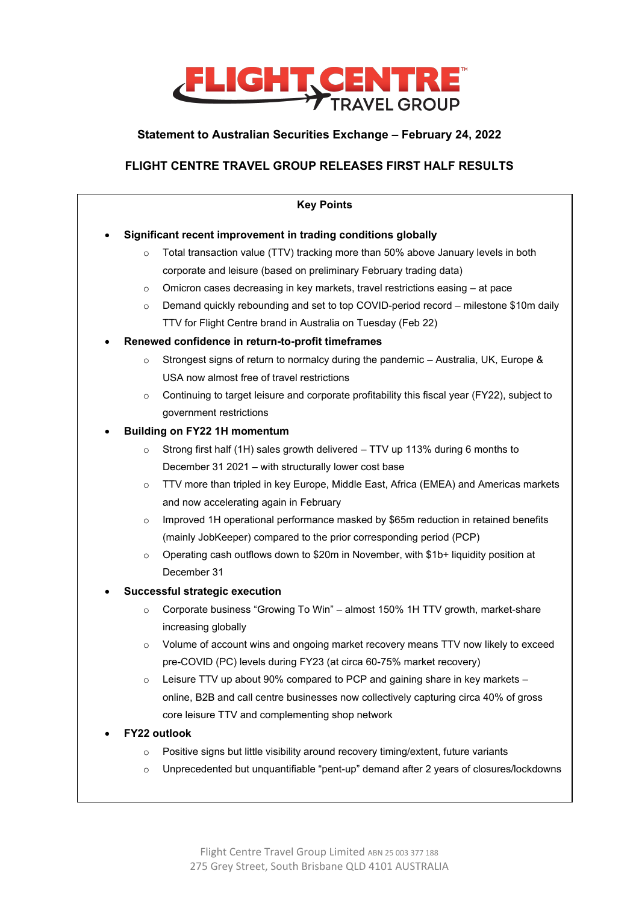

# **Statement to Australian Securities Exchange – February 24, 2022**

# **FLIGHT CENTRE TRAVEL GROUP RELEASES FIRST HALF RESULTS**

| <b>Key Points</b>              |                                                               |                                                                                              |  |
|--------------------------------|---------------------------------------------------------------|----------------------------------------------------------------------------------------------|--|
|                                | Significant recent improvement in trading conditions globally |                                                                                              |  |
|                                | $\circ$                                                       | Total transaction value (TTV) tracking more than 50% above January levels in both            |  |
|                                |                                                               | corporate and leisure (based on preliminary February trading data)                           |  |
|                                | $\circ$                                                       | Omicron cases decreasing in key markets, travel restrictions easing - at pace                |  |
|                                | $\circ$                                                       | Demand quickly rebounding and set to top COVID-period record – milestone \$10m daily         |  |
|                                |                                                               | TTV for Flight Centre brand in Australia on Tuesday (Feb 22)                                 |  |
|                                | Renewed confidence in return-to-profit timeframes             |                                                                                              |  |
|                                | $\circ$                                                       | Strongest signs of return to normalcy during the pandemic - Australia, UK, Europe &          |  |
|                                |                                                               | USA now almost free of travel restrictions                                                   |  |
|                                | $\circ$                                                       | Continuing to target leisure and corporate profitability this fiscal year (FY22), subject to |  |
|                                |                                                               | government restrictions                                                                      |  |
| $\bullet$                      | <b>Building on FY22 1H momentum</b>                           |                                                                                              |  |
|                                | $\circ$                                                       | Strong first half (1H) sales growth delivered - TTV up 113% during 6 months to               |  |
|                                |                                                               | December 31 2021 - with structurally lower cost base                                         |  |
|                                | $\circ$                                                       | TTV more than tripled in key Europe, Middle East, Africa (EMEA) and Americas markets         |  |
|                                |                                                               | and now accelerating again in February                                                       |  |
|                                | $\circ$                                                       | Improved 1H operational performance masked by \$65m reduction in retained benefits           |  |
|                                |                                                               | (mainly JobKeeper) compared to the prior corresponding period (PCP)                          |  |
|                                | $\circ$                                                       | Operating cash outflows down to \$20m in November, with \$1b+ liquidity position at          |  |
|                                |                                                               | December 31                                                                                  |  |
| Successful strategic execution |                                                               |                                                                                              |  |
|                                | $\circ$                                                       | Corporate business "Growing To Win" - almost 150% 1H TTV growth, market-share                |  |
|                                |                                                               | increasing globally                                                                          |  |
|                                | $\circ$                                                       | Volume of account wins and ongoing market recovery means TTV now likely to exceed            |  |
|                                |                                                               | pre-COVID (PC) levels during FY23 (at circa 60-75% market recovery)                          |  |
|                                | O                                                             | Leisure TTV up about 90% compared to PCP and gaining share in key markets -                  |  |
|                                |                                                               | online, B2B and call centre businesses now collectively capturing circa 40% of gross         |  |
|                                |                                                               | core leisure TTV and complementing shop network                                              |  |
| FY22 outlook                   |                                                               |                                                                                              |  |
|                                | $\circ$                                                       | Positive signs but little visibility around recovery timing/extent, future variants          |  |
|                                | $\circ$                                                       | Unprecedented but unquantifiable "pent-up" demand after 2 years of closures/lockdowns        |  |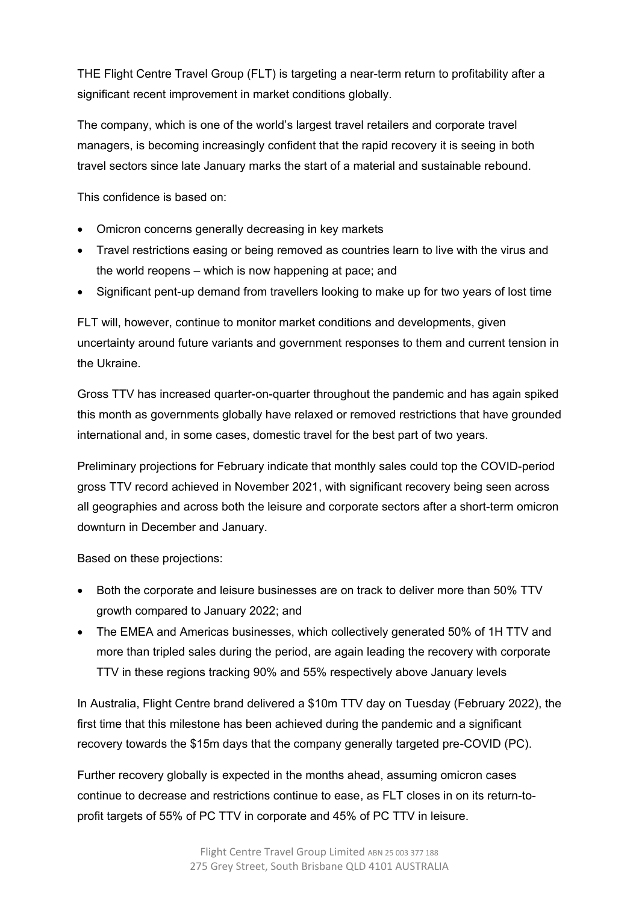THE Flight Centre Travel Group (FLT) is targeting a near-term return to profitability after a significant recent improvement in market conditions globally.

The company, which is one of the world's largest travel retailers and corporate travel managers, is becoming increasingly confident that the rapid recovery it is seeing in both travel sectors since late January marks the start of a material and sustainable rebound.

This confidence is based on:

- Omicron concerns generally decreasing in key markets
- Travel restrictions easing or being removed as countries learn to live with the virus and the world reopens – which is now happening at pace; and
- Significant pent-up demand from travellers looking to make up for two years of lost time

FLT will, however, continue to monitor market conditions and developments, given uncertainty around future variants and government responses to them and current tension in the Ukraine.

Gross TTV has increased quarter-on-quarter throughout the pandemic and has again spiked this month as governments globally have relaxed or removed restrictions that have grounded international and, in some cases, domestic travel for the best part of two years.

Preliminary projections for February indicate that monthly sales could top the COVID-period gross TTV record achieved in November 2021, with significant recovery being seen across all geographies and across both the leisure and corporate sectors after a short-term omicron downturn in December and January.

Based on these projections:

- Both the corporate and leisure businesses are on track to deliver more than 50% TTV growth compared to January 2022; and
- The EMEA and Americas businesses, which collectively generated 50% of 1H TTV and more than tripled sales during the period, are again leading the recovery with corporate TTV in these regions tracking 90% and 55% respectively above January levels

In Australia, Flight Centre brand delivered a \$10m TTV day on Tuesday (February 2022), the first time that this milestone has been achieved during the pandemic and a significant recovery towards the \$15m days that the company generally targeted pre-COVID (PC).

Further recovery globally is expected in the months ahead, assuming omicron cases continue to decrease and restrictions continue to ease, as FLT closes in on its return-toprofit targets of 55% of PC TTV in corporate and 45% of PC TTV in leisure.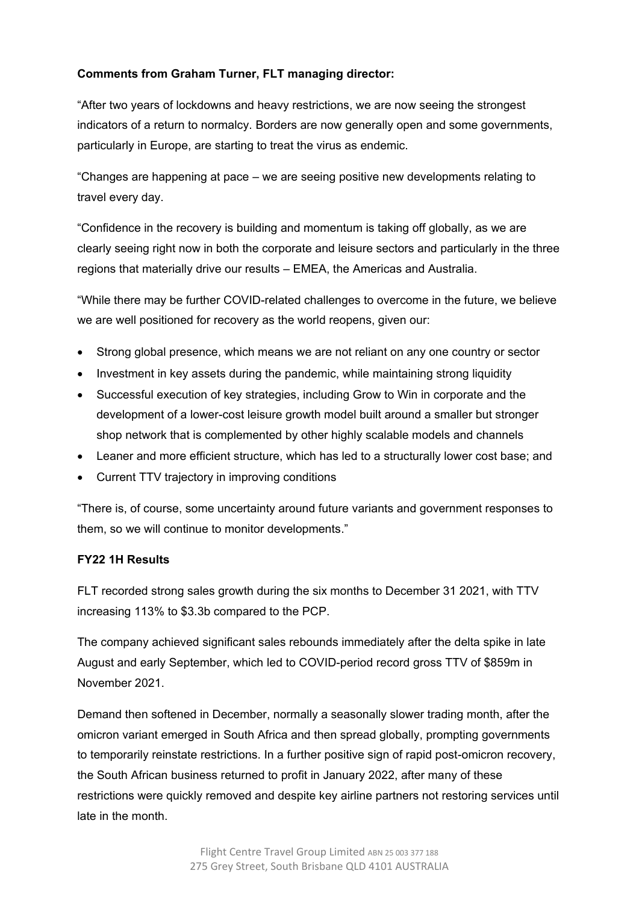# **Comments from Graham Turner, FLT managing director:**

"After two years of lockdowns and heavy restrictions, we are now seeing the strongest indicators of a return to normalcy. Borders are now generally open and some governments, particularly in Europe, are starting to treat the virus as endemic.

"Changes are happening at pace – we are seeing positive new developments relating to travel every day.

"Confidence in the recovery is building and momentum is taking off globally, as we are clearly seeing right now in both the corporate and leisure sectors and particularly in the three regions that materially drive our results – EMEA, the Americas and Australia.

"While there may be further COVID-related challenges to overcome in the future, we believe we are well positioned for recovery as the world reopens, given our:

- Strong global presence, which means we are not reliant on any one country or sector
- Investment in key assets during the pandemic, while maintaining strong liquidity
- Successful execution of key strategies, including Grow to Win in corporate and the development of a lower-cost leisure growth model built around a smaller but stronger shop network that is complemented by other highly scalable models and channels
- Leaner and more efficient structure, which has led to a structurally lower cost base; and
- Current TTV trajectory in improving conditions

"There is, of course, some uncertainty around future variants and government responses to them, so we will continue to monitor developments."

#### **FY22 1H Results**

FLT recorded strong sales growth during the six months to December 31 2021, with TTV increasing 113% to \$3.3b compared to the PCP.

The company achieved significant sales rebounds immediately after the delta spike in late August and early September, which led to COVID-period record gross TTV of \$859m in November 2021.

Demand then softened in December, normally a seasonally slower trading month, after the omicron variant emerged in South Africa and then spread globally, prompting governments to temporarily reinstate restrictions. In a further positive sign of rapid post-omicron recovery, the South African business returned to profit in January 2022, after many of these restrictions were quickly removed and despite key airline partners not restoring services until late in the month.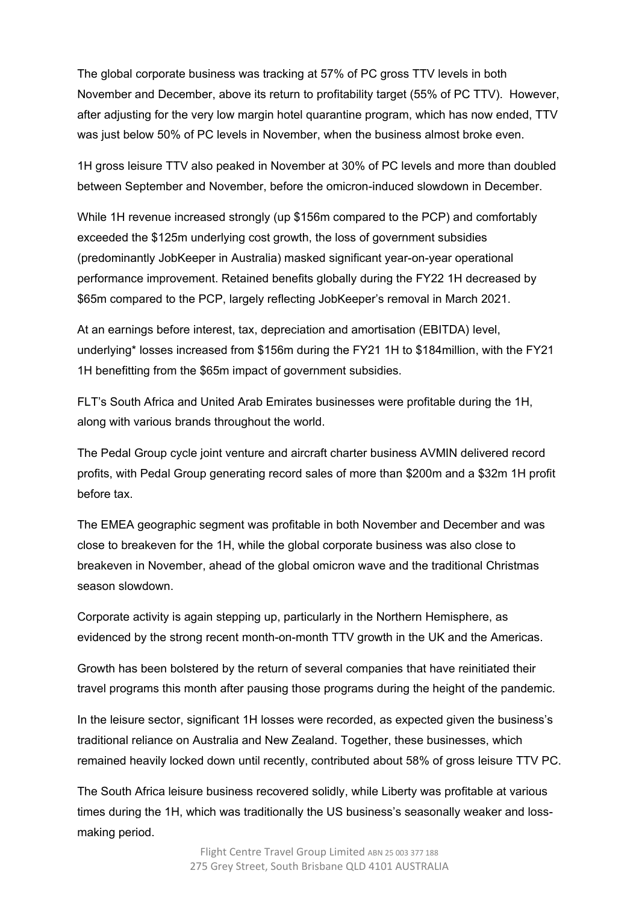The global corporate business was tracking at 57% of PC gross TTV levels in both November and December, above its return to profitability target (55% of PC TTV). However, after adjusting for the very low margin hotel quarantine program, which has now ended, TTV was just below 50% of PC levels in November, when the business almost broke even.

1H gross leisure TTV also peaked in November at 30% of PC levels and more than doubled between September and November, before the omicron-induced slowdown in December.

While 1H revenue increased strongly (up \$156m compared to the PCP) and comfortably exceeded the \$125m underlying cost growth, the loss of government subsidies (predominantly JobKeeper in Australia) masked significant year-on-year operational performance improvement. Retained benefits globally during the FY22 1H decreased by \$65m compared to the PCP, largely reflecting JobKeeper's removal in March 2021.

At an earnings before interest, tax, depreciation and amortisation (EBITDA) level, underlying\* losses increased from \$156m during the FY21 1H to \$184million, with the FY21 1H benefitting from the \$65m impact of government subsidies.

FLT's South Africa and United Arab Emirates businesses were profitable during the 1H, along with various brands throughout the world.

The Pedal Group cycle joint venture and aircraft charter business AVMIN delivered record profits, with Pedal Group generating record sales of more than \$200m and a \$32m 1H profit before tax.

The EMEA geographic segment was profitable in both November and December and was close to breakeven for the 1H, while the global corporate business was also close to breakeven in November, ahead of the global omicron wave and the traditional Christmas season slowdown.

Corporate activity is again stepping up, particularly in the Northern Hemisphere, as evidenced by the strong recent month-on-month TTV growth in the UK and the Americas.

Growth has been bolstered by the return of several companies that have reinitiated their travel programs this month after pausing those programs during the height of the pandemic.

In the leisure sector, significant 1H losses were recorded, as expected given the business's traditional reliance on Australia and New Zealand. Together, these businesses, which remained heavily locked down until recently, contributed about 58% of gross leisure TTV PC.

The South Africa leisure business recovered solidly, while Liberty was profitable at various times during the 1H, which was traditionally the US business's seasonally weaker and lossmaking period.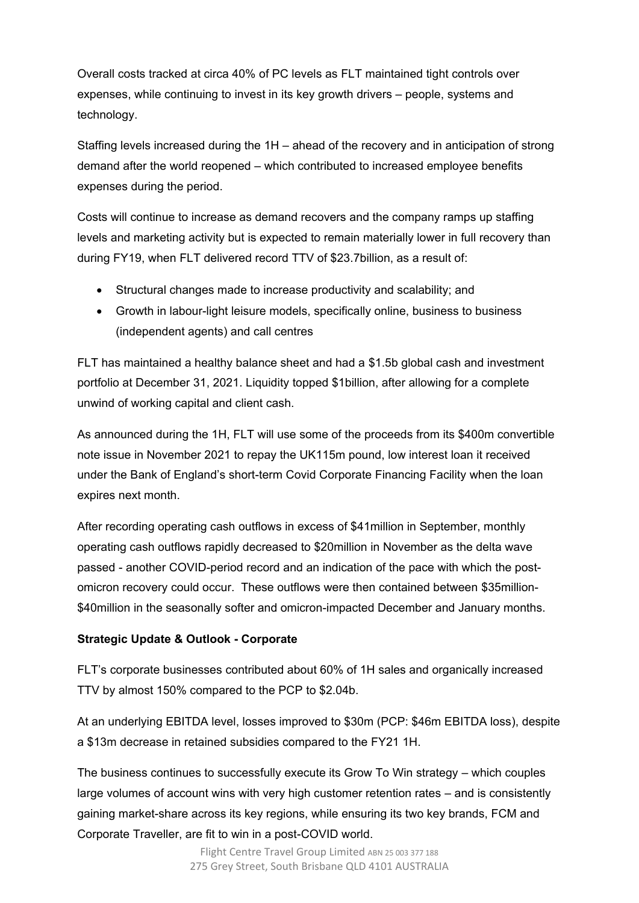Overall costs tracked at circa 40% of PC levels as FLT maintained tight controls over expenses, while continuing to invest in its key growth drivers – people, systems and technology.

Staffing levels increased during the 1H – ahead of the recovery and in anticipation of strong demand after the world reopened – which contributed to increased employee benefits expenses during the period.

Costs will continue to increase as demand recovers and the company ramps up staffing levels and marketing activity but is expected to remain materially lower in full recovery than during FY19, when FLT delivered record TTV of \$23.7billion, as a result of:

- Structural changes made to increase productivity and scalability; and
- Growth in labour-light leisure models, specifically online, business to business (independent agents) and call centres

FLT has maintained a healthy balance sheet and had a \$1.5b global cash and investment portfolio at December 31, 2021. Liquidity topped \$1billion, after allowing for a complete unwind of working capital and client cash.

As announced during the 1H, FLT will use some of the proceeds from its \$400m convertible note issue in November 2021 to repay the UK115m pound, low interest loan it received under the Bank of England's short-term Covid Corporate Financing Facility when the loan expires next month.

After recording operating cash outflows in excess of \$41million in September, monthly operating cash outflows rapidly decreased to \$20million in November as the delta wave passed - another COVID-period record and an indication of the pace with which the postomicron recovery could occur. These outflows were then contained between \$35million- \$40million in the seasonally softer and omicron-impacted December and January months.

## **Strategic Update & Outlook - Corporate**

FLT's corporate businesses contributed about 60% of 1H sales and organically increased TTV by almost 150% compared to the PCP to \$2.04b.

At an underlying EBITDA level, losses improved to \$30m (PCP: \$46m EBITDA loss), despite a \$13m decrease in retained subsidies compared to the FY21 1H.

The business continues to successfully execute its Grow To Win strategy – which couples large volumes of account wins with very high customer retention rates – and is consistently gaining market-share across its key regions, while ensuring its two key brands, FCM and Corporate Traveller, are fit to win in a post-COVID world.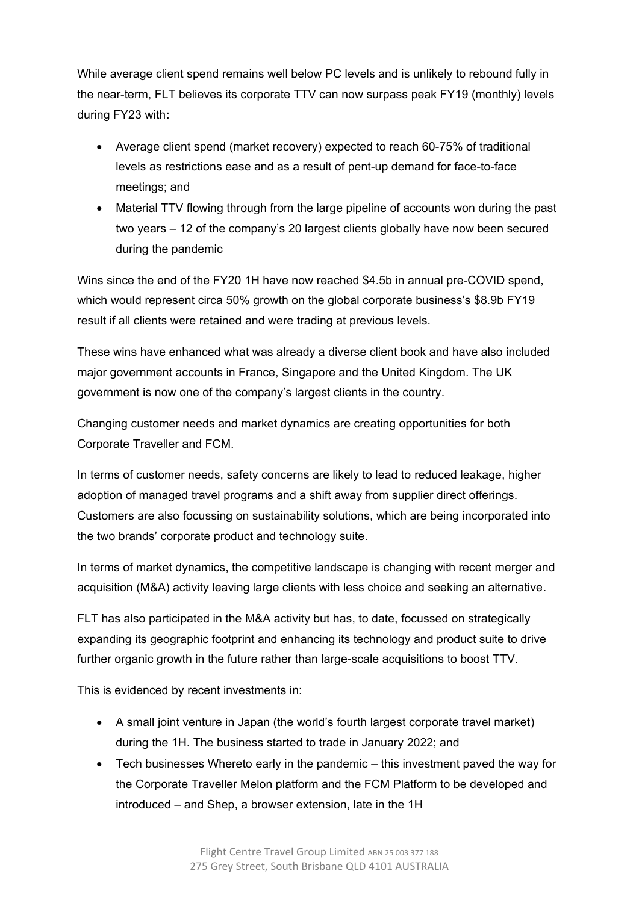While average client spend remains well below PC levels and is unlikely to rebound fully in the near-term, FLT believes its corporate TTV can now surpass peak FY19 (monthly) levels during FY23 with**:**

- Average client spend (market recovery) expected to reach 60-75% of traditional levels as restrictions ease and as a result of pent-up demand for face-to-face meetings; and
- Material TTV flowing through from the large pipeline of accounts won during the past two years – 12 of the company's 20 largest clients globally have now been secured during the pandemic

Wins since the end of the FY20 1H have now reached \$4.5b in annual pre-COVID spend, which would represent circa 50% growth on the global corporate business's \$8.9b FY19 result if all clients were retained and were trading at previous levels.

These wins have enhanced what was already a diverse client book and have also included major government accounts in France, Singapore and the United Kingdom. The UK government is now one of the company's largest clients in the country.

Changing customer needs and market dynamics are creating opportunities for both Corporate Traveller and FCM.

In terms of customer needs, safety concerns are likely to lead to reduced leakage, higher adoption of managed travel programs and a shift away from supplier direct offerings. Customers are also focussing on sustainability solutions, which are being incorporated into the two brands' corporate product and technology suite.

In terms of market dynamics, the competitive landscape is changing with recent merger and acquisition (M&A) activity leaving large clients with less choice and seeking an alternative.

FLT has also participated in the M&A activity but has, to date, focussed on strategically expanding its geographic footprint and enhancing its technology and product suite to drive further organic growth in the future rather than large-scale acquisitions to boost TTV.

This is evidenced by recent investments in:

- A small joint venture in Japan (the world's fourth largest corporate travel market) during the 1H. The business started to trade in January 2022; and
- Tech businesses Whereto early in the pandemic this investment paved the way for the Corporate Traveller Melon platform and the FCM Platform to be developed and introduced – and Shep, a browser extension, late in the 1H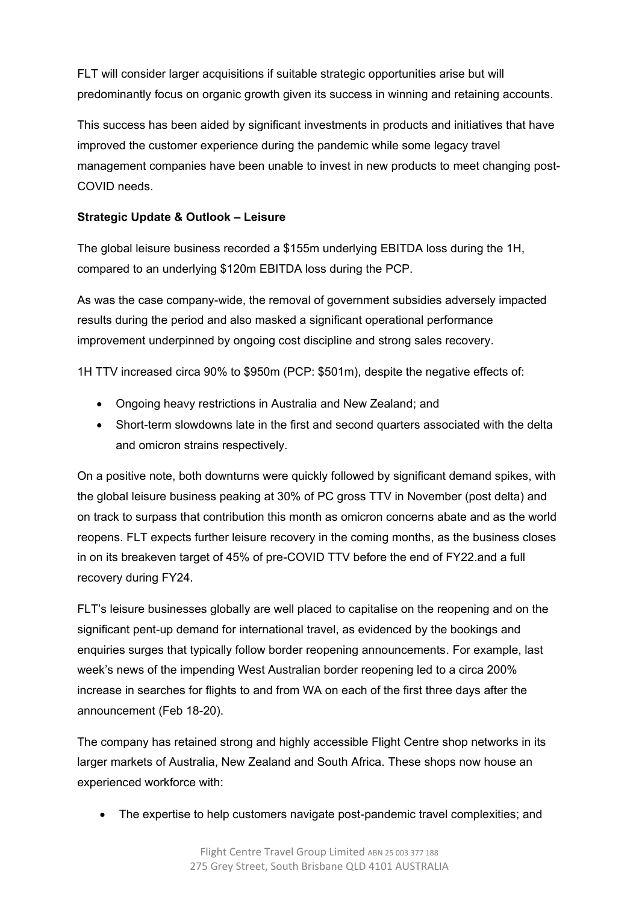FLT will consider larger acquisitions if suitable strategic opportunities arise but will predominantly focus on organic growth given its success in winning and retaining accounts.

This success has been aided by significant investments in products and initiatives that have improved the customer experience during the pandemic while some legacy travel management companies have been unable to invest in new products to meet changing post-COVID needs.

# **Strategic Update & Outlook – Leisure**

The global leisure business recorded a \$155m underlying EBITDA loss during the 1H, compared to an underlying \$120m EBITDA loss during the PCP.

As was the case company-wide, the removal of government subsidies adversely impacted results during the period and also masked a significant operational performance improvement underpinned by ongoing cost discipline and strong sales recovery.

1H TTV increased circa 90% to \$950m (PCP: \$501m), despite the negative effects of:

- Ongoing heavy restrictions in Australia and New Zealand; and
- Short-term slowdowns late in the first and second quarters associated with the delta and omicron strains respectively.

On a positive note, both downturns were quickly followed by significant demand spikes, with the global leisure business peaking at 30% of PC gross TTV in November (post delta) and on track to surpass that contribution this month as omicron concerns abate and as the world reopens. FLT expects further leisure recovery in the coming months, as the business closes in on its breakeven target of 45% of pre-COVID TTV before the end of FY22.and a full recovery during FY24.

FLT's leisure businesses globally are well placed to capitalise on the reopening and on the significant pent-up demand for international travel, as evidenced by the bookings and enquiries surges that typically follow border reopening announcements. For example, last week's news of the impending West Australian border reopening led to a circa 200% increase in searches for flights to and from WA on each of the first three days after the announcement (Feb 18-20).

The company has retained strong and highly accessible Flight Centre shop networks in its larger markets of Australia, New Zealand and South Africa. These shops now house an experienced workforce with:

• The expertise to help customers navigate post-pandemic travel complexities; and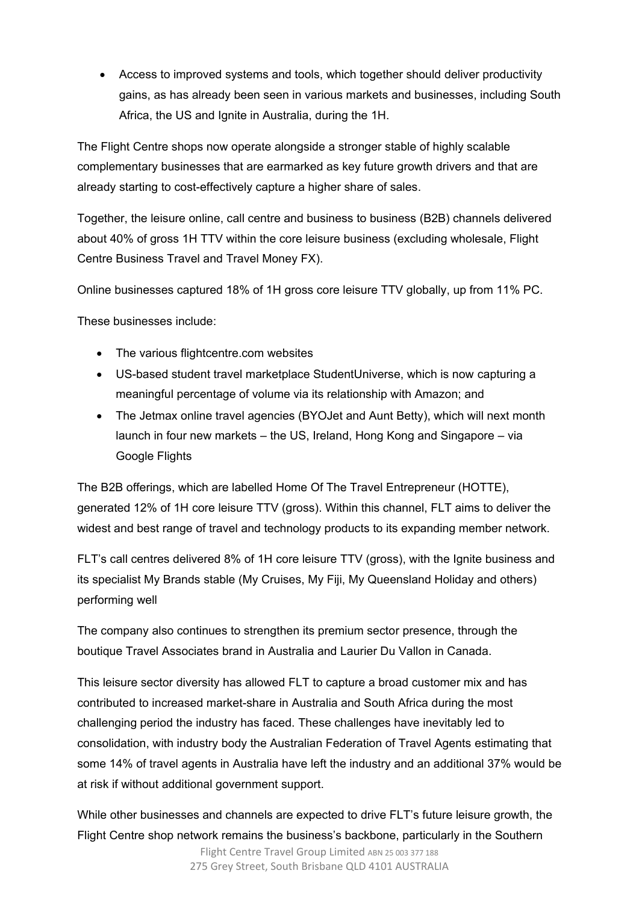• Access to improved systems and tools, which together should deliver productivity gains, as has already been seen in various markets and businesses, including South Africa, the US and Ignite in Australia, during the 1H.

The Flight Centre shops now operate alongside a stronger stable of highly scalable complementary businesses that are earmarked as key future growth drivers and that are already starting to cost-effectively capture a higher share of sales.

Together, the leisure online, call centre and business to business (B2B) channels delivered about 40% of gross 1H TTV within the core leisure business (excluding wholesale, Flight Centre Business Travel and Travel Money FX).

Online businesses captured 18% of 1H gross core leisure TTV globally, up from 11% PC.

These businesses include:

- The various flightcentre.com websites
- US-based student travel marketplace StudentUniverse, which is now capturing a meaningful percentage of volume via its relationship with Amazon; and
- The Jetmax online travel agencies (BYOJet and Aunt Betty), which will next month launch in four new markets – the US, Ireland, Hong Kong and Singapore – via Google Flights

The B2B offerings, which are labelled Home Of The Travel Entrepreneur (HOTTE), generated 12% of 1H core leisure TTV (gross). Within this channel, FLT aims to deliver the widest and best range of travel and technology products to its expanding member network.

FLT's call centres delivered 8% of 1H core leisure TTV (gross), with the Ignite business and its specialist My Brands stable (My Cruises, My Fiji, My Queensland Holiday and others) performing well

The company also continues to strengthen its premium sector presence, through the boutique Travel Associates brand in Australia and Laurier Du Vallon in Canada.

This leisure sector diversity has allowed FLT to capture a broad customer mix and has contributed to increased market-share in Australia and South Africa during the most challenging period the industry has faced. These challenges have inevitably led to consolidation, with industry body the Australian Federation of Travel Agents estimating that some 14% of travel agents in Australia have left the industry and an additional 37% would be at risk if without additional government support.

While other businesses and channels are expected to drive FLT's future leisure growth, the Flight Centre shop network remains the business's backbone, particularly in the Southern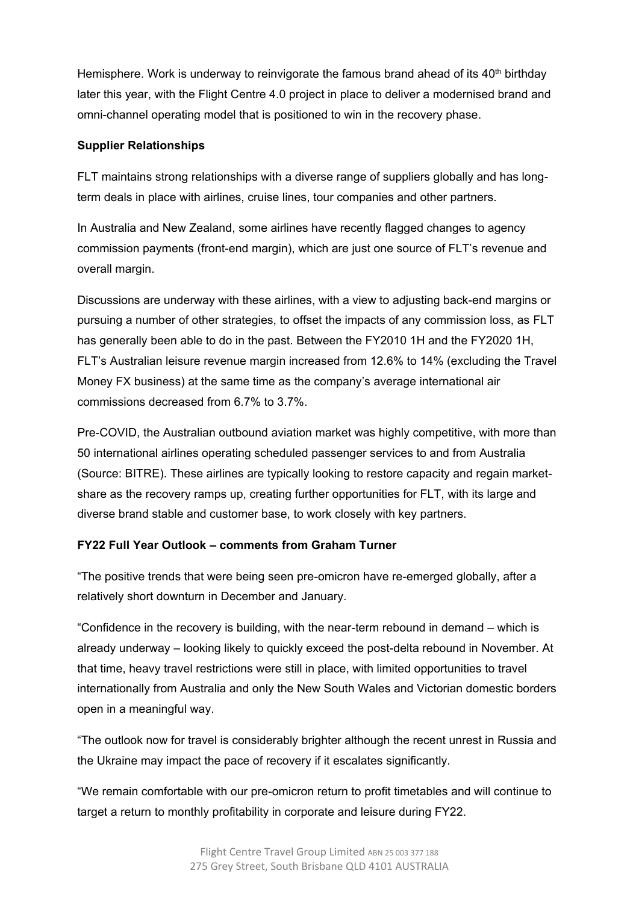Hemisphere. Work is underway to reinvigorate the famous brand ahead of its  $40<sup>th</sup>$  birthday later this year, with the Flight Centre 4.0 project in place to deliver a modernised brand and omni-channel operating model that is positioned to win in the recovery phase.

### **Supplier Relationships**

FLT maintains strong relationships with a diverse range of suppliers globally and has longterm deals in place with airlines, cruise lines, tour companies and other partners.

In Australia and New Zealand, some airlines have recently flagged changes to agency commission payments (front-end margin), which are just one source of FLT's revenue and overall margin.

Discussions are underway with these airlines, with a view to adjusting back-end margins or pursuing a number of other strategies, to offset the impacts of any commission loss, as FLT has generally been able to do in the past. Between the FY2010 1H and the FY2020 1H, FLT's Australian leisure revenue margin increased from 12.6% to 14% (excluding the Travel Money FX business) at the same time as the company's average international air commissions decreased from 6.7% to 3.7%.

Pre-COVID, the Australian outbound aviation market was highly competitive, with more than 50 international airlines operating scheduled passenger services to and from Australia (Source: BITRE). These airlines are typically looking to restore capacity and regain marketshare as the recovery ramps up, creating further opportunities for FLT, with its large and diverse brand stable and customer base, to work closely with key partners.

## **FY22 Full Year Outlook – comments from Graham Turner**

"The positive trends that were being seen pre-omicron have re-emerged globally, after a relatively short downturn in December and January.

"Confidence in the recovery is building, with the near-term rebound in demand – which is already underway – looking likely to quickly exceed the post-delta rebound in November. At that time, heavy travel restrictions were still in place, with limited opportunities to travel internationally from Australia and only the New South Wales and Victorian domestic borders open in a meaningful way.

"The outlook now for travel is considerably brighter although the recent unrest in Russia and the Ukraine may impact the pace of recovery if it escalates significantly.

"We remain comfortable with our pre-omicron return to profit timetables and will continue to target a return to monthly profitability in corporate and leisure during FY22.